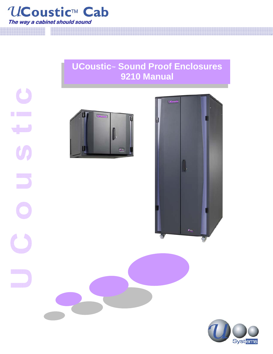

## **UCoustic™ Sound Proof Enclosures 9210 Manual**



**Systems**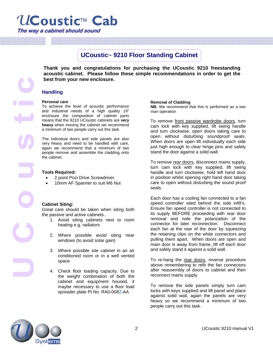

### **UCoustic™ 9210 Floor Standing Cabinet**

**Thank you and congratulations for purchasing the UCoustic 9210 freestanding acoustic cabinet. Please follow these simple recommendations in order to get the best from your new enclosure.**

### **Handling**

#### **Personal care**

To achieve the level of acoustic performance and industrial needs of a high quality 19" enclosure the composition of cabinet parts means that the 9210 UCoustic cabinets are **very heavy** when moving the cabinet we recommend a minimum of two people carry out this task.

The individual doors and side panels are also very heavy and need to be handled with care, again we recommend that a minimum of two people remove and assemble the cladding onto the cabinet.

### **Tools Required:**

- 2 point Pozi Drive Screwdriver
- 10mm AF Spanner to suit M6 Nut

### **Cabinet Siting:**

Great care should be taken when siting both the passive and active cabinets..

- 1. Avoid siting cabinets next to room heating e.g. radiators
- 2. Where possible avoid siting near windows (to avoid solar gain)
- 3. Where possible site cabinet in an air conditioned room or in a well vented space
- 4. Check floor loading capacity. Due to the weight combination of both the cabinet and equipment housed, it maybe necessary to use a floor load spreader plate Pt No. RA0-0082-AA

#### **Removal of Cladding**

**NB.** We recommend that this is performed as a two man operation

To remove front passive wardrobe doors, turn cam lock with key supplied, lift swing handle and turn clockwise, open doors taking care to open without disturbing soundproof seals. When doors are open lift individually each side just high enough to clear hinge pins and safely stand the door against a solid wall.

To remove rear doors, disconnect mains supply, turn cam lock with key supplied, lift swing handle and turn clockwise, hold left hand door in position whilst opening right hand door taking care to open without disturbing the sound proof seals.

Each door has a cooling fan connected to a fan speed controller sited behind the side infill's. Ensure fan speed controller is not connected to its supply BEFORE proceeding with rear door removal and note the polarization of the connector for later reconnection. Disconnect each fan at the rear of the door by squeezing the retaining clips on the white connectors and pulling them apart. When doors are open and main door is away from frame, lift off each door and safely stand it against a solid wall.

To re-hang the rear doors, reverse procedure above remembering to refit the fan connectors after reassembly of doors to cabinet and then reconnect mains supply

To remove the side panels simply turn cam locks with keys supplied and lift panel and place against solid wall, again the panels are very heavy so we recommend a minimum of two people carry out this task.

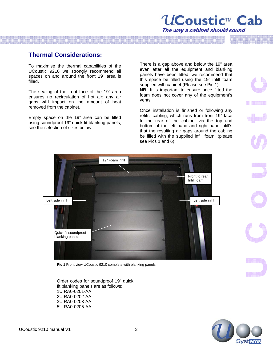## **Thermal Considerations:**

To maximise the thermal capabilities of the UCoustic 9210 we strongly recommend all spaces on and around the front 19" area is filled.

The sealing of the front face of the 19" area ensures no recirculation of hot air; any air gaps **will** impact on the amount of heat removed from the cabinet.

Empty space on the 19" area can be filled using soundproof 19" quick fit blanking panels; see the selection of sizes below.

There is a gap above and below the 19" area even after all the equipment and blanking panels have been fitted, we recommend that this space be filled using the 19" infill foam supplied with cabinet (Please see Pic 1) **NB:** It is important to ensure once fitted the

foam does not cover any of the equipment's vents.

Once installation is finished or following any refits, cabling, which runs from front 19" face to the rear of the cabinet via the top and bottom of the left hand and right hand infill's that the resulting air gaps around the cabling be filled with the supplied infill foam. (please see Pics 1 and 6)



**Pic 1** Front view UCoustic 9210 complete with blanking panels

Order codes for soundproof 19" quick fit blanking panels are as follows: 1U RA0-0201-AA 2U RA0-0202-AA 3U RA0-0203-AA 5U RA0-0205-AA

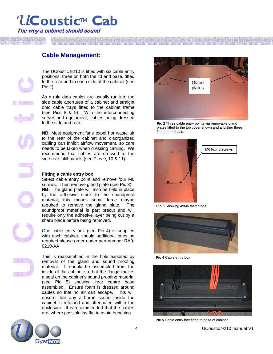# UCoustic<sup>™</sup> Cab **The way a cabinet should sound**

### **Cable Management:**

The UCoustic 9210 is fitted with six cable entry positions, three on both the lid and base, fitted to the rear and to each side of the cabinet (see Pic 2)

As a rule data cables are usually run into the side cable apertures of a cabinet and straight onto cable trays fitted to the cabinet frame (see Pics 8 & 9). With the interconnecting server and equipment, cables being dressed to the side and rear.

**NB.** Most equipment fans expel hot waste air to the rear of the cabinet and disorganized cabling can inhibit airflow movement, so care needs to be taken when dressing cabling. We recommend that cables are dressed to the side rear infill panels (see Pics 9, 10 & 11).

### **Fitting a cable entry box**

Select cable entry point and remove four M6 screws. Then remove gland plate (see Pic 3). **NB.** The gland plate will also be held in place by the adhesive stuck to the soundproof material; this means some force maybe required to remove the gland plate. The soundproof material is part precut and will require only the adhesive layer being cut by a sharp blade before being removed.

One cable entry box (see Pic 4) is supplied with each cabinet, should additional ones be required please order under part number RA0- 0210-AA

This is reassembled in the hole exposed by removal of the gland and sound proofing material. It should be assembled from the inside of the cabinet so that the flange makes a seal on the cabinet's sound proofing material (see Pic 5) showing rear centre base assembled. Ensure foam is dressed around cables so that no air can escape. This will ensure that any airborne sound inside the cabinet is retained and attenuated within the enclosure. It is recommended that the cables are, where possible lay flat to avoid bunching



**Pic 2** Three cable entry points via removable gland plates fitted to the top cover shown and a further three fitted to the base.



**Pic 3** Showing 4xM6 fastenings



**Pic 4** Cable entry box



**Pic 5** Cable entry box fitted to base of cabinet

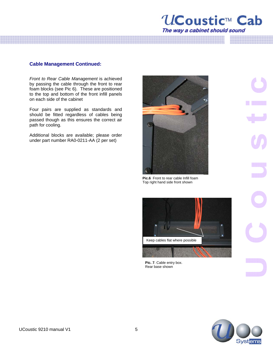

### **Cable Management Continued:**

*Front to Rear Cable Management* is achieved by passing the cable through the front to rear foam blocks (see Pic 6). These are positioned to the top and bottom of the front infill panels on each side of the cabinet

Four pairs are supplied as standards and should be fitted regardless of cables being passed though as this ensures the correct air path for cooling.

Additional blocks are available; please order under part number RA0-0211-AA (2 per set)



**Pic.6** Front to rear cable Infill foam Top right hand side front shown



**Pic. 7**. Cable entry box. Rear base shown

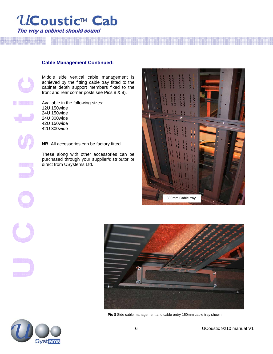

### **Cable Management Continued:**

Middle side vertical cable management is achieved by the fitting cable tray fitted to the cabinet depth support members fixed to the front and rear corner posts see Pics 8 & 9).

Available in the following sizes: 12U 150wide 24U 150wide 24U 300wide 42U 150wide 42U 300wide

**NB.** All accessories can be factory fitted.

These along with other accessories can be purchased through your supplier/distributor or direct from USystems Ltd.





**Pic 8** Side cable management and cable entry 150mm cable tray shown